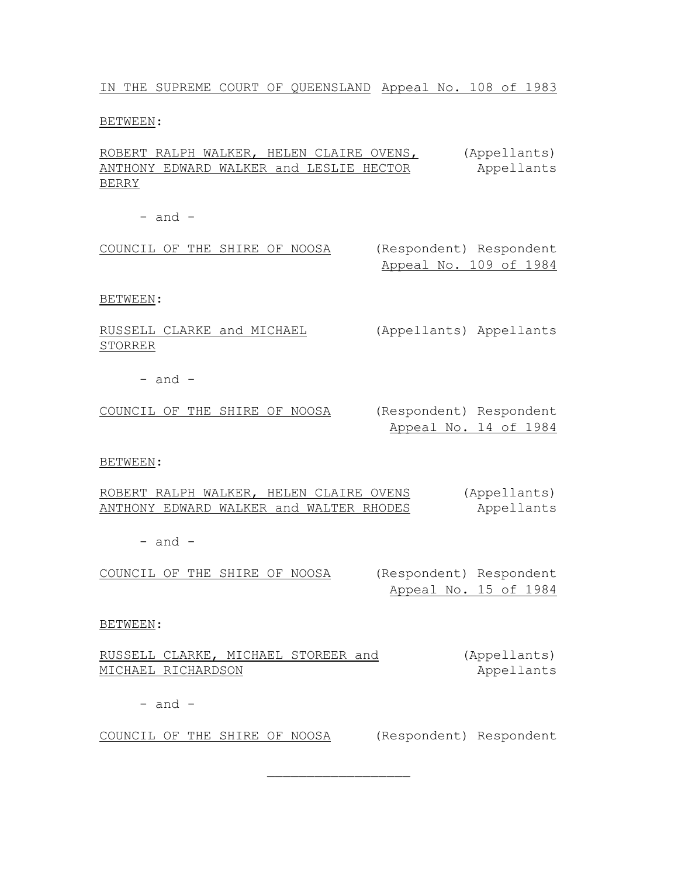IN THE SUPREME COURT OF QUEENSLAND Appeal No. 108 of 1983

BETWEEN:

ROBERT RALPH WALKER, HELEN CLAIRE OVENS, ANTHONY EDWARD WALKER and LESLIE HECTOR BERRY (Appellants) Appellants

 $-$  and  $-$ 

COUNCIL OF THE SHIRE OF NOOSA (Respondent) Respondent

Appeal No. 109 of 1984

BETWEEN:

RUSSELL CLARKE and MICHAEL STORRER (Appellants) Appellants

 $-$  and  $-$ 

COUNCIL OF THE SHIRE OF NOOSA (Respondent) Respondent Appeal No. 14 of 1984

BETWEEN:

ROBERT RALPH WALKER, HELEN CLAIRE OVENS ANTHONY EDWARD WALKER and WALTER RHODES (Appellants) Appellants

 $-$  and  $-$ 

COUNCIL OF THE SHIRE OF NOOSA (Respondent) Respondent

Appeal No. 15 of 1984

BETWEEN:

RUSSELL CLARKE, MICHAEL STOREER and MICHAEL RICHARDSON (Appellants)

 $\overline{\phantom{a}}$  , where  $\overline{\phantom{a}}$  , where  $\overline{\phantom{a}}$  , where  $\overline{\phantom{a}}$ 

Appellants

 $-$  and  $-$ 

COUNCIL OF THE SHIRE OF NOOSA (Respondent) Respondent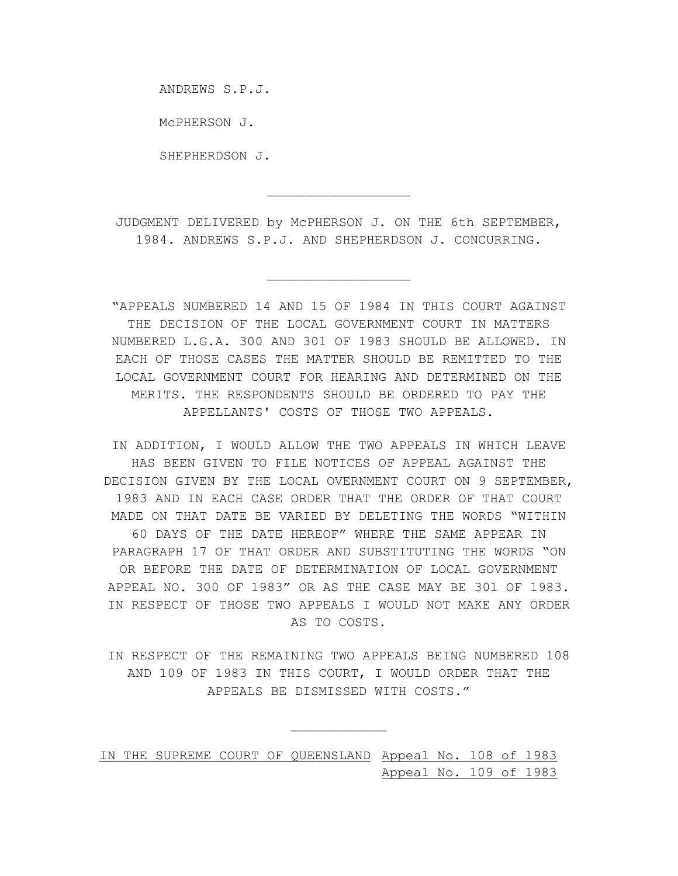ANDREWS S.P.J.

McPHERSON J.

SHEPHERDSON J.

JUDGMENT DELIVERED by McPHERSON J. ON THE 6th SEPTEMBER, 1984. ANDREWS S.P.J. AND SHEPHERDSON J. CONCURRING.

 $\overline{\phantom{a}}$  , where  $\overline{\phantom{a}}$  , where  $\overline{\phantom{a}}$  , where  $\overline{\phantom{a}}$ 

 $\overline{\phantom{a}}$  , where  $\overline{\phantom{a}}$  , where  $\overline{\phantom{a}}$  , where  $\overline{\phantom{a}}$ 

"APPEALS NUMBERED 14 AND 15 OF 1984 IN THIS COURT AGAINST THE DECISION OF THE LOCAL GOVERNMENT COURT IN MATTERS NUMBERED L.G.A. 300 AND 301 OF 1983 SHOULD BE ALLOWED. IN EACH OF THOSE CASES THE MATTER SHOULD BE REMITTED TO THE LOCAL GOVERNMENT COURT FOR HEARING AND DETERMINED ON THE MERITS. THE RESPONDENTS SHOULD BE ORDERED TO PAY THE APPELLANTS' COSTS OF THOSE TWO APPEALS.

IN ADDITION, I WOULD ALLOW THE TWO APPEALS IN WHICH LEAVE HAS BEEN GIVEN TO FILE NOTICES OF APPEAL AGAINST THE DECISION GIVEN BY THE LOCAL OVERNMENT COURT ON 9 SEPTEMBER, 1983 AND IN EACH CASE ORDER THAT THE ORDER OF THAT COURT MADE ON THAT DATE BE VARIED BY DELETING THE WORDS "WITHIN 60 DAYS OF THE DATE HEREOF" WHERE THE SAME APPEAR IN PARAGRAPH 17 OF THAT ORDER AND SUBSTITUTING THE WORDS "ON OR BEFORE THE DATE OF DETERMINATION OF LOCAL GOVERNMENT APPEAL NO. 300 OF 1983" OR AS THE CASE MAY BE 301 OF 1983. IN RESPECT OF THOSE TWO APPEALS I WOULD NOT MAKE ANY ORDER AS TO COSTS.

IN RESPECT OF THE REMAINING TWO APPEALS BEING NUMBERED 108 AND 109 OF 1983 IN THIS COURT, I WOULD ORDER THAT THE APPEALS BE DISMISSED WITH COSTS."

 $\frac{1}{2}$ 

IN THE SUPREME COURT OF QUEENSLAND Appeal No. 108 of 1983 Appeal No. 109 of 1983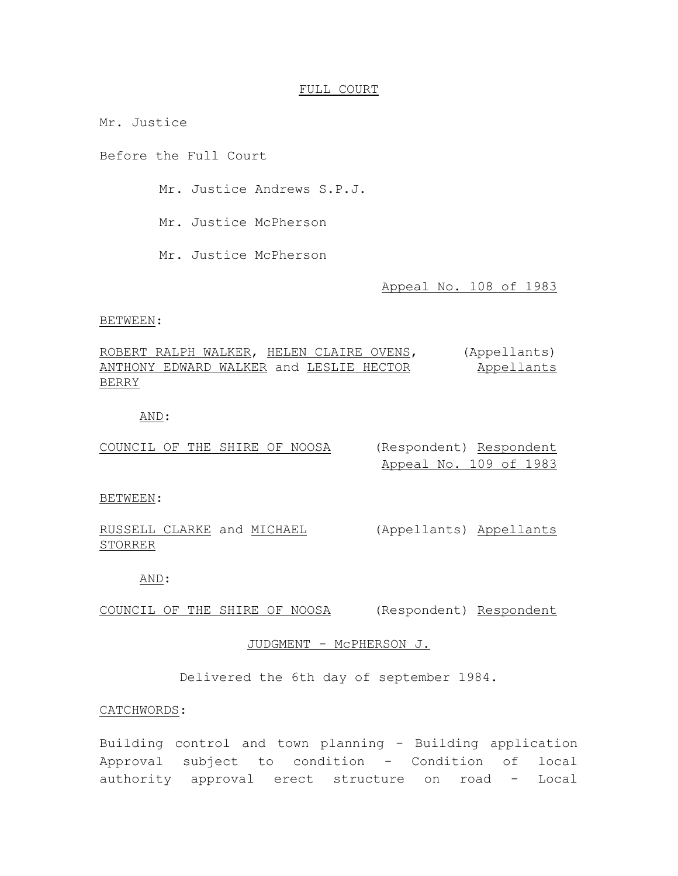## FULL COURT

Mr. Justice

Before the Full Court

Mr. Justice Andrews S.P.J.

Mr. Justice McPherson

Mr. Justice McPherson

Appeal No. 108 of 1983

#### BETWEEN:

ROBERT RALPH WALKER, HELEN CLAIRE OVENS, (Appellants) ANTHONY EDWARD WALKER and LESLIE HECTOR BERRY Appellants

# AND:

| COUNCIL OF THE SHIRE OF NOOSA |  |  | (Resp                      |
|-------------------------------|--|--|----------------------------|
|                               |  |  | $\pi$ $\sim$ $\sim$ $\sim$ |

oondent) Respondent Appeal No. 109 of 1983

#### BETWEEN:

RUSSELL CLARKE and MICHAEL (Appellants) Appellants STORRER

## AND:

COUNCIL OF THE SHIRE OF NOOSA (Respondent) Respondent

# JUDGMENT - McPHERSON J.

Delivered the 6th day of september 1984.

# CATCHWORDS:

Building control and town planning - Building application Approval subject to condition - Condition of local authority approval erect structure on road - Local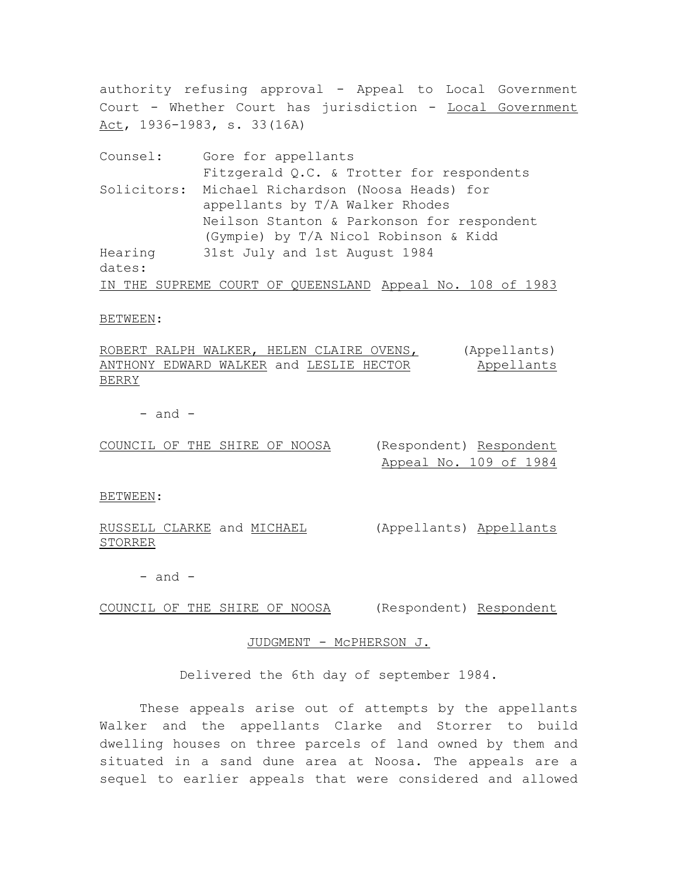authority refusing approval - Appeal to Local Government Court - Whether Court has jurisdiction - Local Government Act, 1936-1983, s. 33(16A)

Counsel: Gore for appellants Fitzgerald Q.C. & Trotter for respondents Solicitors: Michael Richardson (Noosa Heads) for appellants by T/A Walker Rhodes Neilson Stanton & Parkonson for respondent (Gympie) by T/A Nicol Robinson & Kidd Hearing dates: 31st July and 1st August 1984 IN THE SUPREME COURT OF QUEENSLAND Appeal No. 108 of 1983

#### BETWEEN:

ROBERT RALPH WALKER, HELEN CLAIRE OVENS, ANTHONY EDWARD WALKER and LESLIE HECTOR BERRY (Appellants) Appellants

 $-$  and  $-$ 

COUNCIL OF THE SHIRE OF NOOSA (Respondent) Respondent

Appeal No. 109 of 1984

BETWEEN:

RUSSELL CLARKE and MICHAEL STORRER

(Appellants) Appellants

 $-$  and  $-$ 

COUNCIL OF THE SHIRE OF NOOSA (Respondent) Respondent

## JUDGMENT - McPHERSON J.

Delivered the 6th day of september 1984.

These appeals arise out of attempts by the appellants Walker and the appellants Clarke and Storrer to build dwelling houses on three parcels of land owned by them and situated in a sand dune area at Noosa. The appeals are a sequel to earlier appeals that were considered and allowed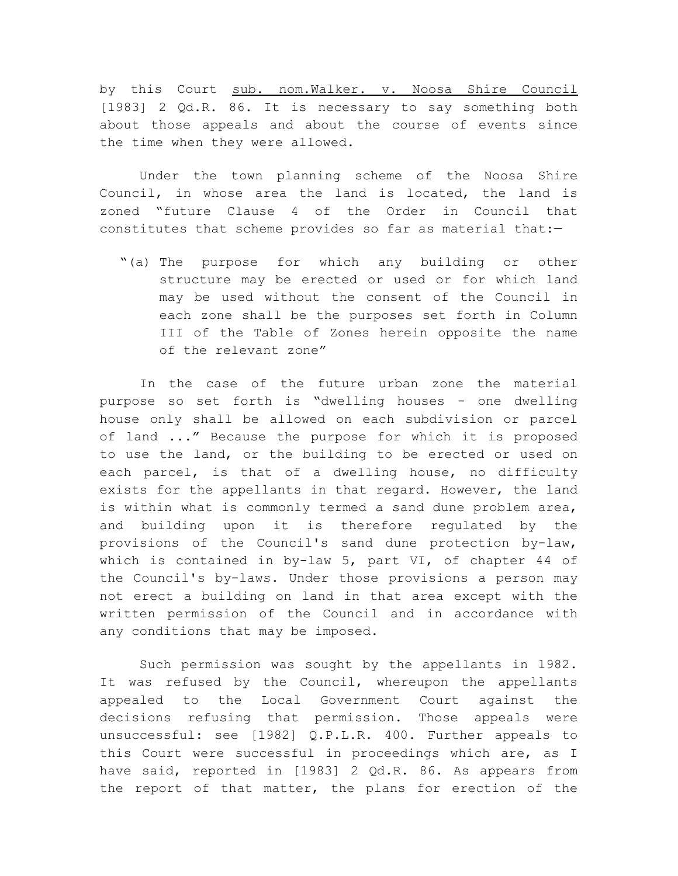by this Court sub. nom.Walker. v. Noosa Shire Council [1983] 2 Qd.R. 86. It is necessary to say something both about those appeals and about the course of events since the time when they were allowed.

Under the town planning scheme of the Noosa Shire Council, in whose area the land is located, the land is zoned "future Clause 4 of the Order in Council that constitutes that scheme provides so far as material that:-

"(a) The purpose for which any building or other structure may be erected or used or for which land may be used without the consent of the Council in each zone shall be the purposes set forth in Column III of the Table of Zones herein opposite the name of the relevant zone"

In the case of the future urban zone the material purpose so set forth is "dwelling houses - one dwelling house only shall be allowed on each subdivision or parcel of land ..." Because the purpose for which it is proposed to use the land, or the building to be erected or used on each parcel, is that of a dwelling house, no difficulty exists for the appellants in that regard. However, the land is within what is commonly termed a sand dune problem area, and building upon it is therefore regulated by the provisions of the Council's sand dune protection by-law, which is contained in by-law 5, part VI, of chapter 44 of the Council's by-laws. Under those provisions a person may not erect a building on land in that area except with the written permission of the Council and in accordance with any conditions that may be imposed.

Such permission was sought by the appellants in 1982. It was refused by the Council, whereupon the appellants appealed to the Local Government Court against the decisions refusing that permission. Those appeals were unsuccessful: see [1982] Q.P.L.R. 400. Further appeals to this Court were successful in proceedings which are, as I have said, reported in [1983] 2 Qd.R. 86. As appears from the report of that matter, the plans for erection of the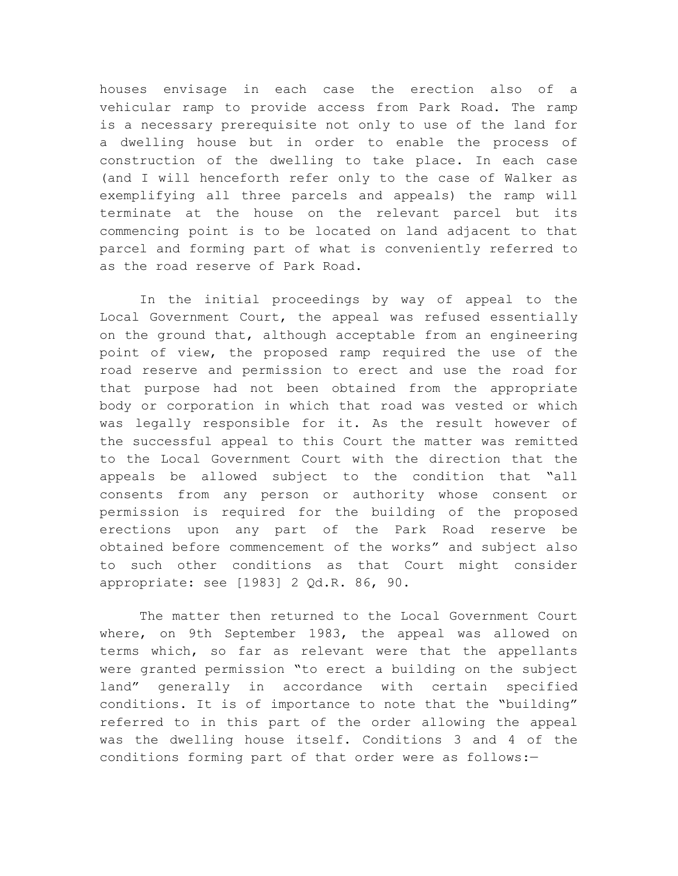houses envisage in each case the erection also of a vehicular ramp to provide access from Park Road. The ramp is a necessary prerequisite not only to use of the land for a dwelling house but in order to enable the process of construction of the dwelling to take place. In each case (and I will henceforth refer only to the case of Walker as exemplifying all three parcels and appeals) the ramp will terminate at the house on the relevant parcel but its commencing point is to be located on land adjacent to that parcel and forming part of what is conveniently referred to as the road reserve of Park Road.

In the initial proceedings by way of appeal to the Local Government Court, the appeal was refused essentially on the ground that, although acceptable from an engineering point of view, the proposed ramp required the use of the road reserve and permission to erect and use the road for that purpose had not been obtained from the appropriate body or corporation in which that road was vested or which was legally responsible for it. As the result however of the successful appeal to this Court the matter was remitted to the Local Government Court with the direction that the appeals be allowed subject to the condition that "all consents from any person or authority whose consent or permission is required for the building of the proposed erections upon any part of the Park Road reserve be obtained before commencement of the works" and subject also to such other conditions as that Court might consider appropriate: see [1983] 2 Qd.R. 86, 90.

The matter then returned to the Local Government Court where, on 9th September 1983, the appeal was allowed on terms which, so far as relevant were that the appellants were granted permission "to erect a building on the subject land" generally in accordance with certain specified conditions. It is of importance to note that the "building" referred to in this part of the order allowing the appeal was the dwelling house itself. Conditions 3 and 4 of the conditions forming part of that order were as follows:-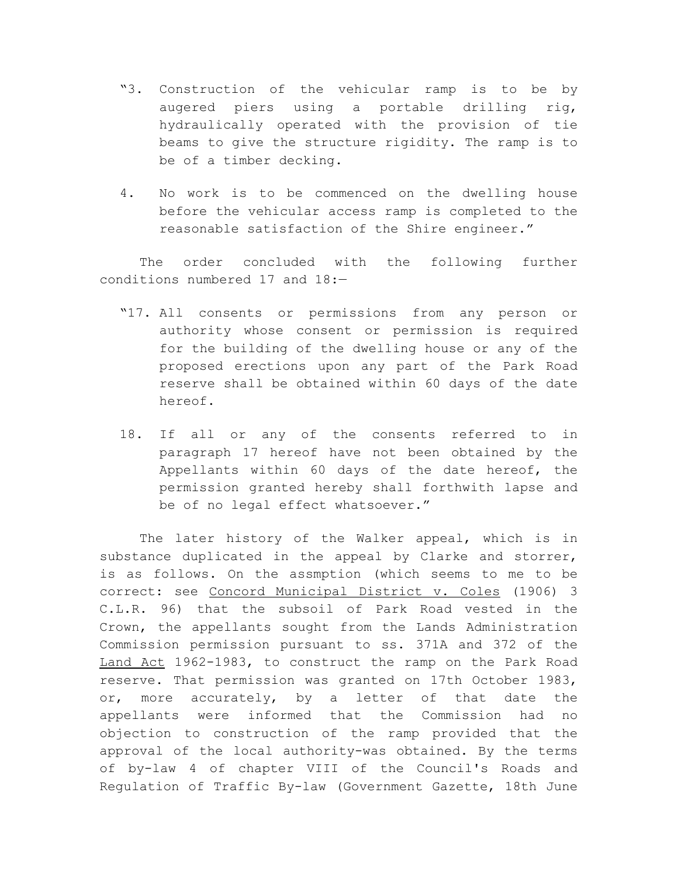- "3. Construction of the vehicular ramp is to be by augered piers using a portable drilling rig, hydraulically operated with the provision of tie beams to give the structure rigidity. The ramp is to be of a timber decking.
- 4. No work is to be commenced on the dwelling house before the vehicular access ramp is completed to the reasonable satisfaction of the Shire engineer."

The order concluded with the following further conditions numbered 17 and 18:—

- "17. All consents or permissions from any person or authority whose consent or permission is required for the building of the dwelling house or any of the proposed erections upon any part of the Park Road reserve shall be obtained within 60 days of the date hereof.
- 18. If all or any of the consents referred to in paragraph 17 hereof have not been obtained by the Appellants within 60 days of the date hereof, the permission granted hereby shall forthwith lapse and be of no legal effect whatsoever."

The later history of the Walker appeal, which is in substance duplicated in the appeal by Clarke and storrer, is as follows. On the assmption (which seems to me to be correct: see Concord Municipal District v. Coles (1906) 3 C.L.R. 96) that the subsoil of Park Road vested in the Crown, the appellants sought from the Lands Administration Commission permission pursuant to ss. 371A and 372 of the Land Act 1962-1983, to construct the ramp on the Park Road reserve. That permission was granted on 17th October 1983, or, more accurately, by a letter of that date the appellants were informed that the Commission had no objection to construction of the ramp provided that the approval of the local authority-was obtained. By the terms of by-law 4 of chapter VIII of the Council's Roads and Regulation of Traffic By-law (Government Gazette, 18th June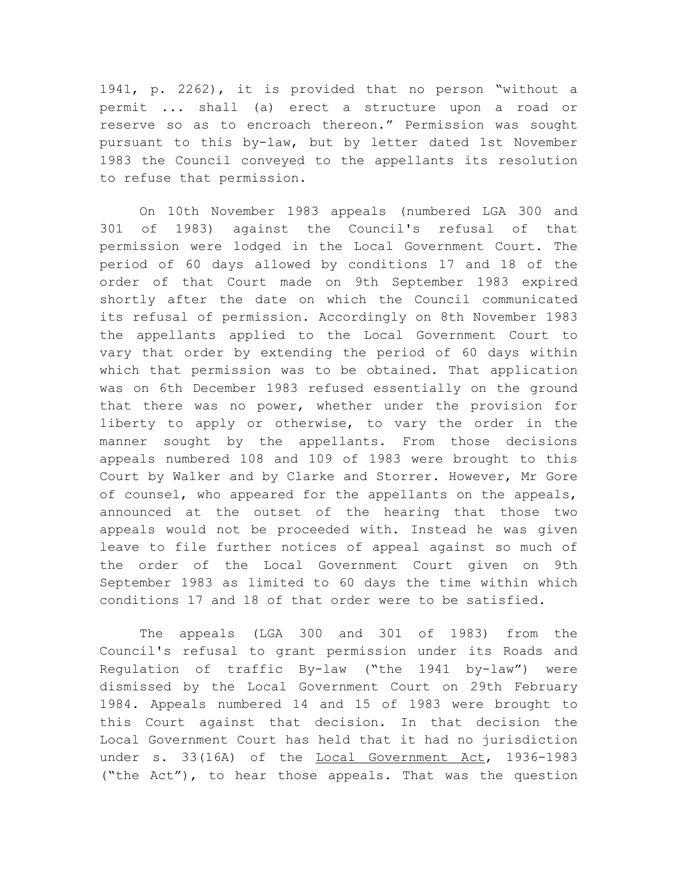1941, p. 2262), it is provided that no person "without a permit ... shall (a) erect a structure upon a road or reserve so as to encroach thereon." Permission was sought pursuant to this by-law, but by letter dated 1st November 1983 the Council conveyed to the appellants its resolution to refuse that permission.

On 10th November 1983 appeals (numbered LGA 300 and 301 of 1983) against the Council's refusal of that permission were lodged in the Local Government Court. The period of 60 days allowed by conditions 17 and 18 of the order of that Court made on 9th September 1983 expired shortly after the date on which the Council communicated its refusal of permission. Accordingly on 8th November 1983 the appellants applied to the Local Government Court to vary that order by extending the period of 60 days within which that permission was to be obtained. That application was on 6th December 1983 refused essentially on the ground that there was no power, whether under the provision for liberty to apply or otherwise, to vary the order in the manner sought by the appellants. From those decisions appeals numbered 108 and 109 of 1983 were brought to this Court by Walker and by Clarke and Storrer. However, Mr Gore of counsel, who appeared for the appellants on the appeals, announced at the outset of the hearing that those two appeals would not be proceeded with. Instead he was given leave to file further notices of appeal against so much of the order of the Local Government Court given on 9th September 1983 as limited to 60 days the time within which conditions 17 and 18 of that order were to be satisfied.

The appeals (LGA 300 and 301 of 1983) from the Council's refusal to grant permission under its Roads and Regulation of traffic By-law ("the 1941 by-law") were dismissed by the Local Government Court on 29th February 1984. Appeals numbered 14 and 15 of 1983 were brought to this Court against that decision. In that decision the Local Government Court has held that it had no jurisdiction under s. 33(16A) of the Local Government Act, 1936-1983 ("the Act"), to hear those appeals. That was the question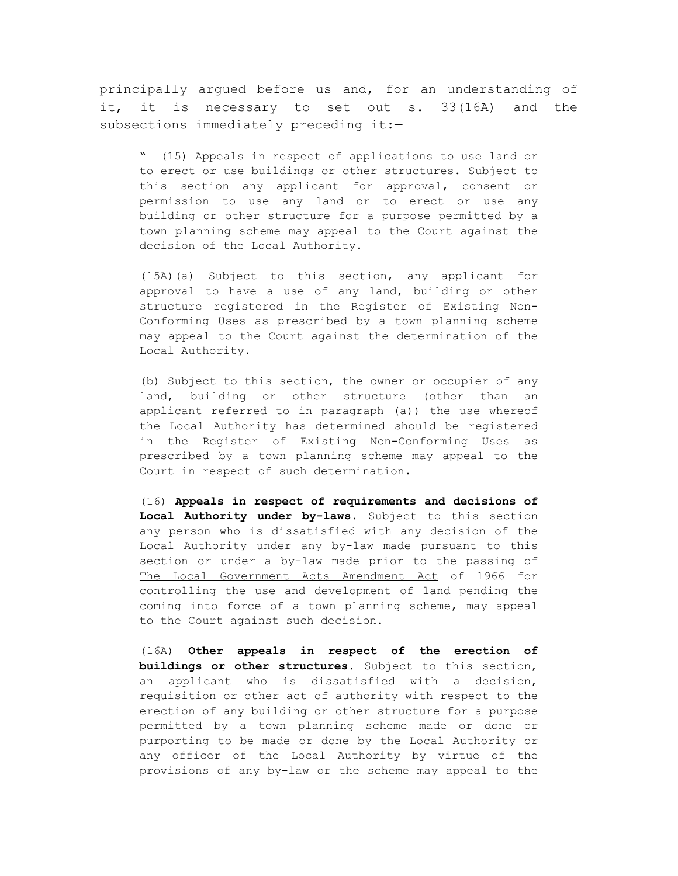principally argued before us and, for an understanding of it, it is necessary to set out s. 33(16A) and the subsections immediately preceding it:-

" (15) Appeals in respect of applications to use land or to erect or use buildings or other structures. Subject to this section any applicant for approval, consent or permission to use any land or to erect or use any building or other structure for a purpose permitted by a town planning scheme may appeal to the Court against the decision of the Local Authority.

(15A)(a) Subject to this section, any applicant for approval to have a use of any land, building or other structure registered in the Register of Existing Non-Conforming Uses as prescribed by a town planning scheme may appeal to the Court against the determination of the Local Authority.

(b) Subject to this section, the owner or occupier of any land, building or other structure (other than an applicant referred to in paragraph (a)) the use whereof the Local Authority has determined should be registered in the Register of Existing Non-Conforming Uses as prescribed by a town planning scheme may appeal to the Court in respect of such determination.

(16) **Appeals in respect of requirements and decisions of Local Authority under by-laws**. Subject to this section any person who is dissatisfied with any decision of the Local Authority under any by-law made pursuant to this section or under a by-law made prior to the passing of The Local Government Acts Amendment Act of 1966 for controlling the use and development of land pending the coming into force of a town planning scheme, may appeal to the Court against such decision.

(16A) **Other appeals in respect of the erection of buildings or other structures**. Subject to this section, an applicant who is dissatisfied with a decision, requisition or other act of authority with respect to the erection of any building or other structure for a purpose permitted by a town planning scheme made or done or purporting to be made or done by the Local Authority or any officer of the Local Authority by virtue of the provisions of any by-law or the scheme may appeal to the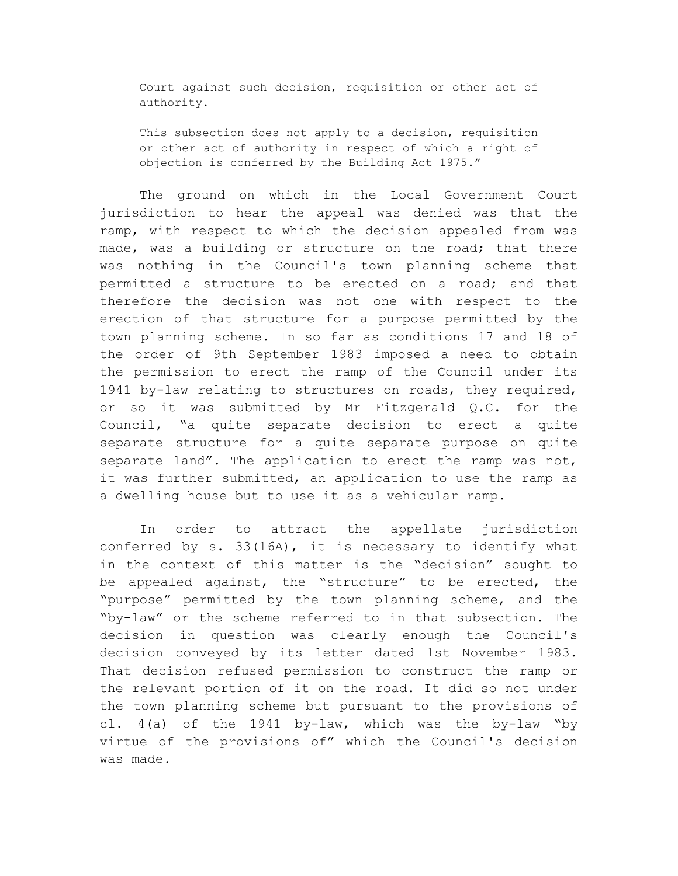Court against such decision, requisition or other act of authority.

This subsection does not apply to a decision, requisition or other act of authority in respect of which a right of objection is conferred by the Building Act 1975."

The ground on which in the Local Government Court jurisdiction to hear the appeal was denied was that the ramp, with respect to which the decision appealed from was made, was a building or structure on the road; that there was nothing in the Council's town planning scheme that permitted a structure to be erected on a road; and that therefore the decision was not one with respect to the erection of that structure for a purpose permitted by the town planning scheme. In so far as conditions 17 and 18 of the order of 9th September 1983 imposed a need to obtain the permission to erect the ramp of the Council under its 1941 by-law relating to structures on roads, they required, or so it was submitted by Mr Fitzgerald Q.C. for the Council, "a quite separate decision to erect a quite separate structure for a quite separate purpose on quite separate land". The application to erect the ramp was not, it was further submitted, an application to use the ramp as a dwelling house but to use it as a vehicular ramp.

In order to attract the appellate jurisdiction conferred by s. 33(16A), it is necessary to identify what in the context of this matter is the "decision" sought to be appealed against, the "structure" to be erected, the "purpose" permitted by the town planning scheme, and the "by-law" or the scheme referred to in that subsection. The decision in question was clearly enough the Council's decision conveyed by its letter dated 1st November 1983. That decision refused permission to construct the ramp or the relevant portion of it on the road. It did so not under the town planning scheme but pursuant to the provisions of cl. 4(a) of the 1941 by-law, which was the by-law "by virtue of the provisions of" which the Council's decision was made.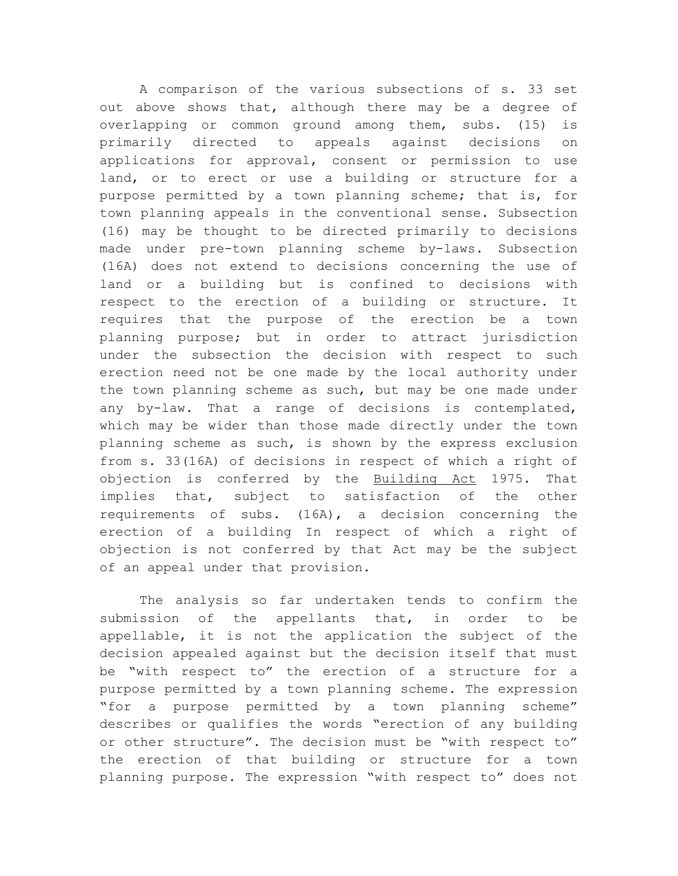A comparison of the various subsections of s. 33 set out above shows that, although there may be a degree of overlapping or common ground among them, subs. (15) is primarily directed to appeals against decisions on applications for approval, consent or permission to use land, or to erect or use a building or structure for a purpose permitted by a town planning scheme; that is, for town planning appeals in the conventional sense. Subsection (16) may be thought to be directed primarily to decisions made under pre-town planning scheme by-laws. Subsection (16A) does not extend to decisions concerning the use of land or a building but is confined to decisions with respect to the erection of a building or structure. It requires that the purpose of the erection be a town planning purpose; but in order to attract jurisdiction under the subsection the decision with respect to such erection need not be one made by the local authority under the town planning scheme as such, but may be one made under any by-law. That a range of decisions is contemplated, which may be wider than those made directly under the town planning scheme as such, is shown by the express exclusion from s. 33(16A) of decisions in respect of which a right of objection is conferred by the Building Act 1975. That implies that, subject to satisfaction of the other requirements of subs. (16A), a decision concerning the erection of a building In respect of which a right of objection is not conferred by that Act may be the subject of an appeal under that provision.

The analysis so far undertaken tends to confirm the submission of the appellants that, in order to be appellable, it is not the application the subject of the decision appealed against but the decision itself that must be "with respect to" the erection of a structure for a purpose permitted by a town planning scheme. The expression "for a purpose permitted by a town planning scheme" describes or qualifies the words "erection of any building or other structure". The decision must be "with respect to" the erection of that building or structure for a town planning purpose. The expression "with respect to" does not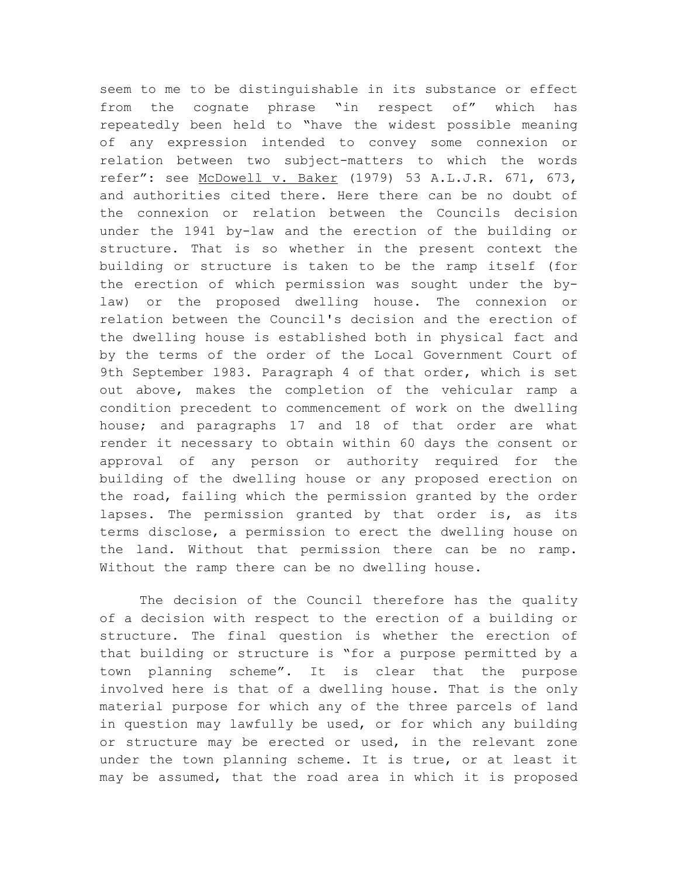seem to me to be distinguishable in its substance or effect from the cognate phrase "in respect of" which has repeatedly been held to "have the widest possible meaning of any expression intended to convey some connexion or relation between two subject-matters to which the words refer": see McDowell v. Baker (1979) 53 A.L.J.R. 671, 673, and authorities cited there. Here there can be no doubt of the connexion or relation between the Councils decision under the 1941 by-law and the erection of the building or structure. That is so whether in the present context the building or structure is taken to be the ramp itself (for the erection of which permission was sought under the bylaw) or the proposed dwelling house. The connexion or relation between the Council's decision and the erection of the dwelling house is established both in physical fact and by the terms of the order of the Local Government Court of 9th September 1983. Paragraph 4 of that order, which is set out above, makes the completion of the vehicular ramp a condition precedent to commencement of work on the dwelling house; and paragraphs 17 and 18 of that order are what render it necessary to obtain within 60 days the consent or approval of any person or authority required for the building of the dwelling house or any proposed erection on the road, failing which the permission granted by the order lapses. The permission granted by that order is, as its terms disclose, a permission to erect the dwelling house on the land. Without that permission there can be no ramp. Without the ramp there can be no dwelling house.

The decision of the Council therefore has the quality of a decision with respect to the erection of a building or structure. The final question is whether the erection of that building or structure is "for a purpose permitted by a town planning scheme". It is clear that the purpose involved here is that of a dwelling house. That is the only material purpose for which any of the three parcels of land in question may lawfully be used, or for which any building or structure may be erected or used, in the relevant zone under the town planning scheme. It is true, or at least it may be assumed, that the road area in which it is proposed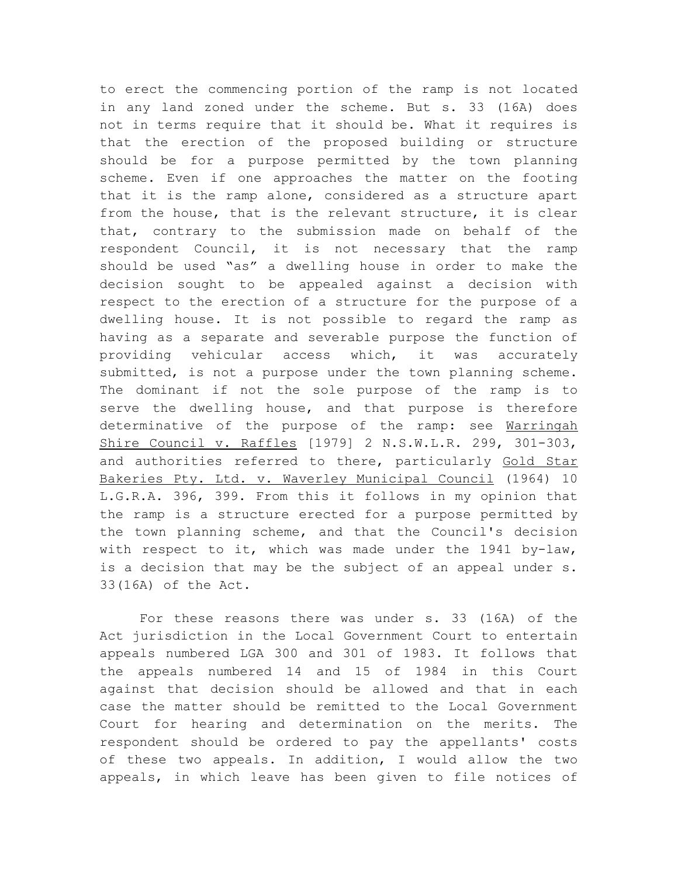to erect the commencing portion of the ramp is not located in any land zoned under the scheme. But s. 33 (16A) does not in terms require that it should be. What it requires is that the erection of the proposed building or structure should be for a purpose permitted by the town planning scheme. Even if one approaches the matter on the footing that it is the ramp alone, considered as a structure apart from the house, that is the relevant structure, it is clear that, contrary to the submission made on behalf of the respondent Council, it is not necessary that the ramp should be used "as" a dwelling house in order to make the decision sought to be appealed against a decision with respect to the erection of a structure for the purpose of a dwelling house. It is not possible to regard the ramp as having as a separate and severable purpose the function of providing vehicular access which, it was accurately submitted, is not a purpose under the town planning scheme. The dominant if not the sole purpose of the ramp is to serve the dwelling house, and that purpose is therefore determinative of the purpose of the ramp: see Warringah Shire Council v. Raffles [1979] 2 N.S.W.L.R. 299, 301-303, and authorities referred to there, particularly Gold Star Bakeries Pty. Ltd. v. Waverley Municipal Council (1964) 10 L.G.R.A. 396, 399. From this it follows in my opinion that the ramp is a structure erected for a purpose permitted by the town planning scheme, and that the Council's decision with respect to it, which was made under the 1941 by-law, is a decision that may be the subject of an appeal under s. 33(16A) of the Act.

For these reasons there was under s. 33 (16A) of the Act jurisdiction in the Local Government Court to entertain appeals numbered LGA 300 and 301 of 1983. It follows that the appeals numbered 14 and 15 of 1984 in this Court against that decision should be allowed and that in each case the matter should be remitted to the Local Government Court for hearing and determination on the merits. The respondent should be ordered to pay the appellants' costs of these two appeals. In addition, I would allow the two appeals, in which leave has been given to file notices of